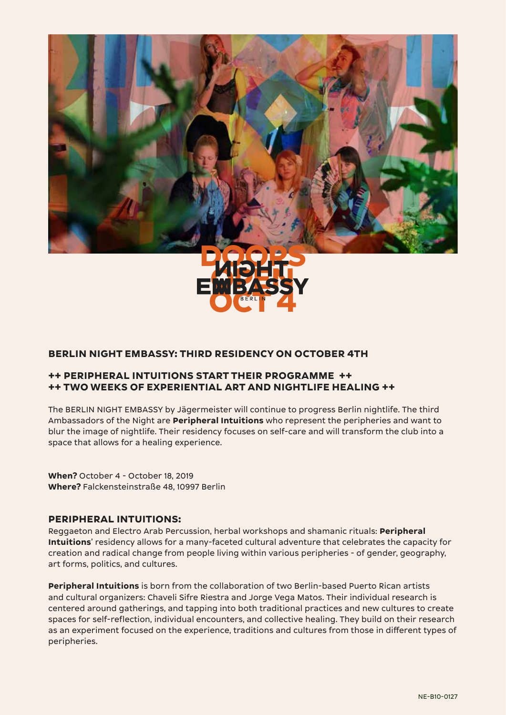



## **BERLIN NIGHT EMBASSY: THIRD RESIDENCY ON OCTOBER 4TH**

#### **++ PERIPHERAL INTUITIONS START THEIR PROGRAMME ++ ++ TWO WEEKS OF EXPERIENTIAL ART AND NIGHTLIFE HEALING ++**

The BERLIN NIGHT EMBASSY by Jägermeister will continue to progress Berlin nightlife. The third Ambassadors of the Night are **Peripheral Intuitions** who represent the peripheries and want to blur the image of nightlife. Their residency focuses on self-care and will transform the club into a space that allows for a healing experience.

**When?** October 4 - October 18, 2019 **Where?** Falckensteinstraße 48, 10997 Berlin

## **PERIPHERAL INTUITIONS:**

Reggaeton and Electro Arab Percussion, herbal workshops and shamanic rituals: **Peripheral Intuitions**' residency allows for a many-faceted cultural adventure that celebrates the capacity for creation and radical change from people living within various peripheries - of gender, geography, art forms, politics, and cultures.

**Peripheral Intuitions** is born from the collaboration of two Berlin-based Puerto Rican artists and cultural organizers: Chaveli Sifre Riestra and Jorge Vega Matos. Their individual research is centered around gatherings, and tapping into both traditional practices and new cultures to create spaces for self-reflection, individual encounters, and collective healing. They build on their research as an experiment focused on the experience, traditions and cultures from those in different types of peripheries.